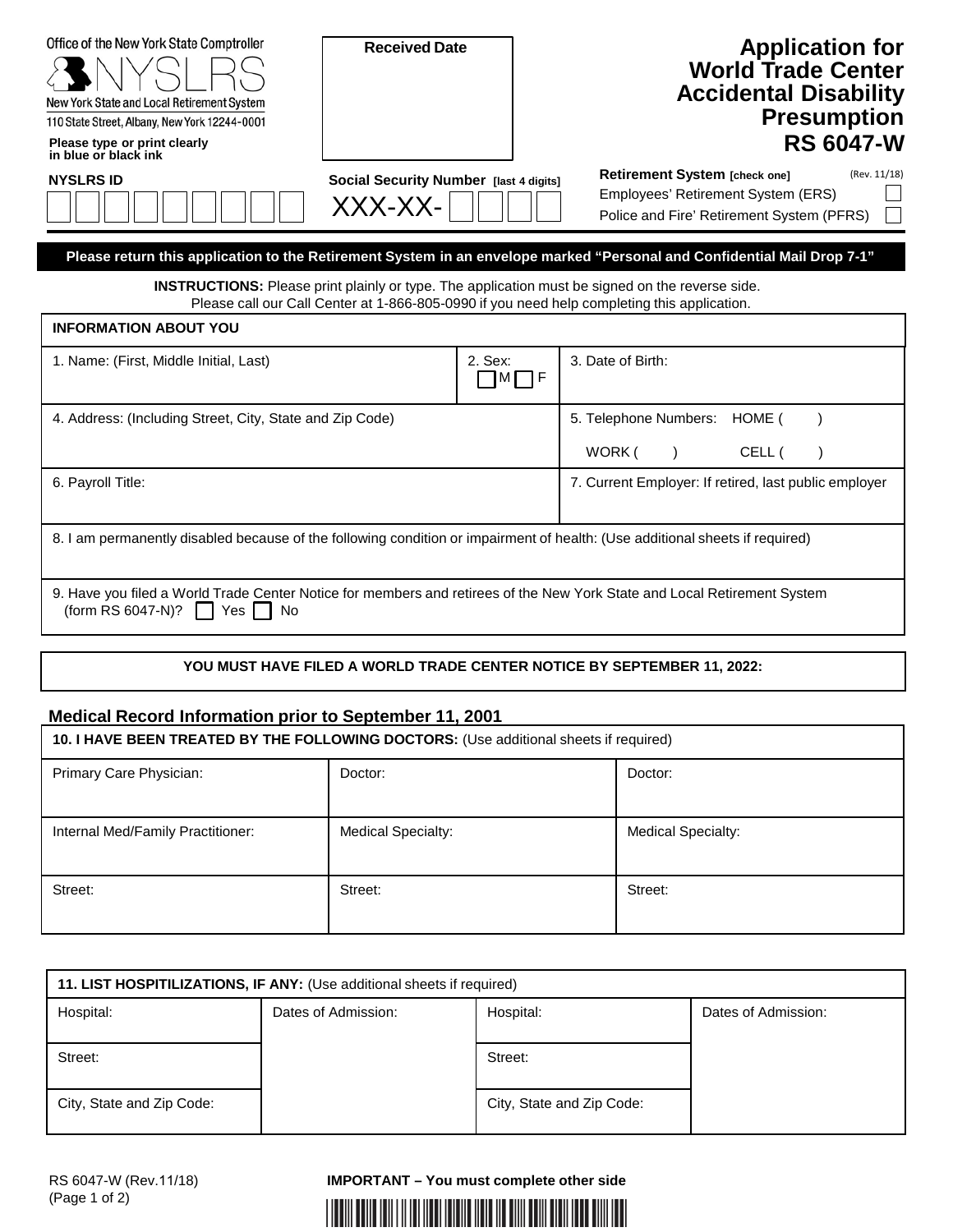| Office of the New York State Comptroller<br>New York State and Local Retirement System<br>110 State Street, Albany, New York 12244-0001                                                               | <b>Received Date</b>                              |                                                       |                  |                                                                                                                  |  | <b>Application for</b><br><b>World Trade Center</b><br><b>Accidental Disability</b><br><b>Presumption</b><br><b>RS 6047-W</b> |
|-------------------------------------------------------------------------------------------------------------------------------------------------------------------------------------------------------|---------------------------------------------------|-------------------------------------------------------|------------------|------------------------------------------------------------------------------------------------------------------|--|-------------------------------------------------------------------------------------------------------------------------------|
| Please type or print clearly<br>in blue or black ink                                                                                                                                                  |                                                   |                                                       |                  |                                                                                                                  |  |                                                                                                                               |
| <b>NYSLRS ID</b>                                                                                                                                                                                      | Social Security Number [last 4 digits]<br>XXX-XX- |                                                       |                  | Retirement System [check one]<br>Employees' Retirement System (ERS)<br>Police and Fire' Retirement System (PFRS) |  | (Rev. 11/18)                                                                                                                  |
| Please return this application to the Retirement System in an envelope marked "Personal and Confidential Mail Drop 7-1"                                                                               |                                                   |                                                       |                  |                                                                                                                  |  |                                                                                                                               |
| <b>INSTRUCTIONS:</b> Please print plainly or type. The application must be signed on the reverse side.<br>Please call our Call Center at 1-866-805-0990 if you need help completing this application. |                                                   |                                                       |                  |                                                                                                                  |  |                                                                                                                               |
| <b>INFORMATION ABOUT YOU</b>                                                                                                                                                                          |                                                   |                                                       |                  |                                                                                                                  |  |                                                                                                                               |
| 2. Sex:<br>1. Name: (First, Middle Initial, Last)<br>⅂ͷ冂╒                                                                                                                                             |                                                   | 3. Date of Birth:                                     |                  |                                                                                                                  |  |                                                                                                                               |
| 4. Address: (Including Street, City, State and Zip Code)                                                                                                                                              |                                                   |                                                       |                  | 5. Telephone Numbers: HOME (                                                                                     |  |                                                                                                                               |
|                                                                                                                                                                                                       |                                                   |                                                       | WORK (<br>CELL ( |                                                                                                                  |  |                                                                                                                               |
| 6. Payroll Title:                                                                                                                                                                                     |                                                   | 7. Current Employer: If retired, last public employer |                  |                                                                                                                  |  |                                                                                                                               |
| 8. I am permanently disabled because of the following condition or impairment of health: (Use additional sheets if required)                                                                          |                                                   |                                                       |                  |                                                                                                                  |  |                                                                                                                               |
| 9. Have you filed a World Trade Center Notice for members and retirees of the New York State and Local Retirement System<br>(form RS 6047-N)?<br>Yes<br>No.                                           |                                                   |                                                       |                  |                                                                                                                  |  |                                                                                                                               |
|                                                                                                                                                                                                       |                                                   |                                                       |                  |                                                                                                                  |  |                                                                                                                               |
| YOU MUST HAVE FILED A WORLD TRADE CENTER NOTICE BY SEPTEMBER 11, 2022:                                                                                                                                |                                                   |                                                       |                  |                                                                                                                  |  |                                                                                                                               |
| <b>Medical Record Information prior to September 11, 2001</b>                                                                                                                                         |                                                   |                                                       |                  |                                                                                                                  |  |                                                                                                                               |
| 10. I HAVE BEEN TREATED BY THE FOLLOWING DOCTORS: (Use additional sheets if required)                                                                                                                 |                                                   |                                                       |                  |                                                                                                                  |  |                                                                                                                               |
| Primary Care Physician:                                                                                                                                                                               | Doctor:                                           |                                                       |                  | Doctor:                                                                                                          |  |                                                                                                                               |
| Internal Med/Family Practitioner:                                                                                                                                                                     | Medical Specialty:                                |                                                       |                  | <b>Medical Specialty:</b>                                                                                        |  |                                                                                                                               |
| Street:                                                                                                                                                                                               | Street:                                           |                                                       |                  | Street:                                                                                                          |  |                                                                                                                               |

| 11. LIST HOSPITILIZATIONS, IF ANY: (Use additional sheets if required) |                     |                           |                     |
|------------------------------------------------------------------------|---------------------|---------------------------|---------------------|
| Hospital:                                                              | Dates of Admission: | Hospital:                 | Dates of Admission: |
|                                                                        |                     |                           |                     |
| Street:                                                                |                     | Street:                   |                     |
|                                                                        |                     |                           |                     |
| City, State and Zip Code:                                              |                     | City, State and Zip Code: |                     |
|                                                                        |                     |                           |                     |

**IMPORTANT – You must complete other side**

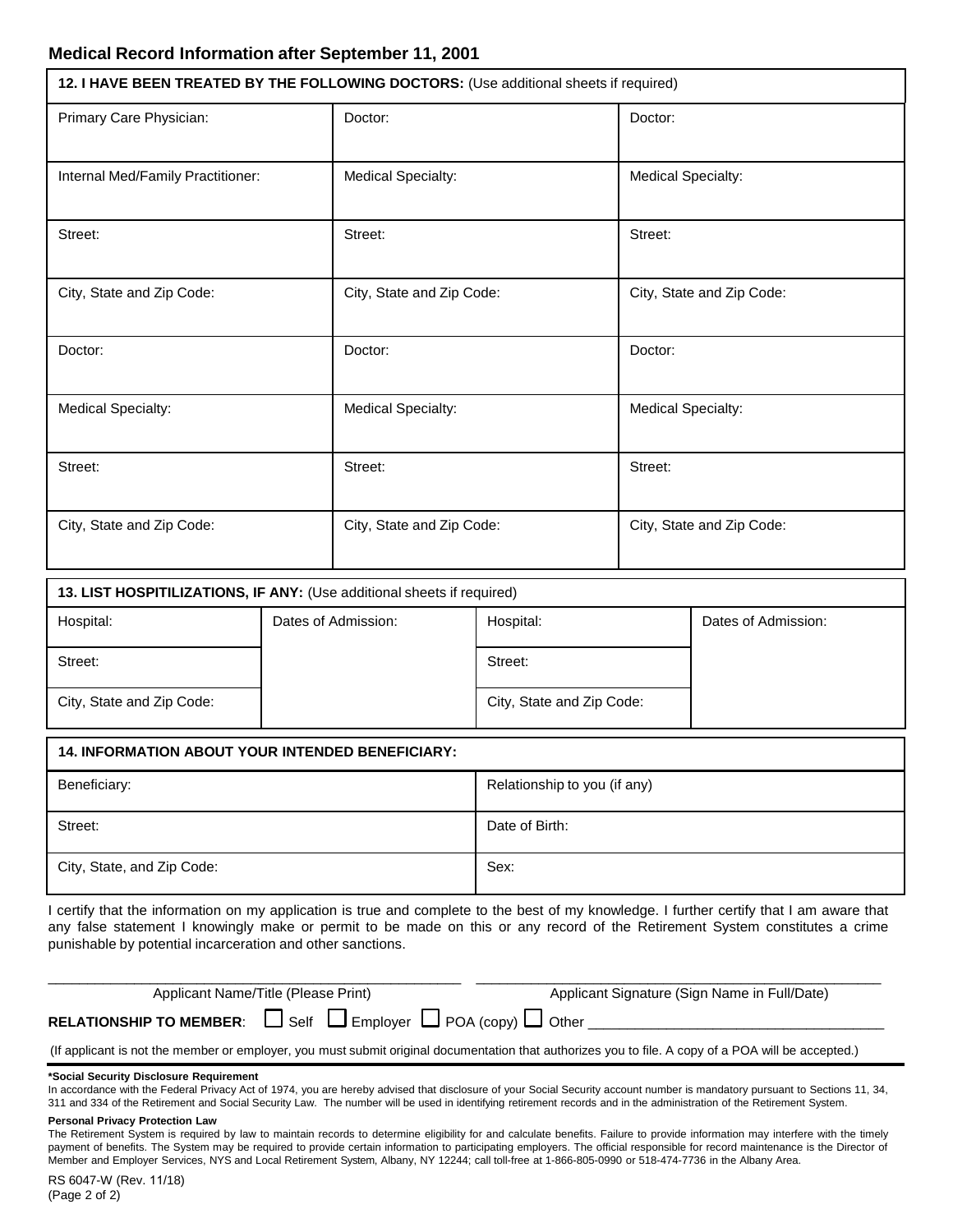| 12. I HAVE BEEN TREATED BY THE FOLLOWING DOCTORS: (Use additional sheets if required) |                           |                           |
|---------------------------------------------------------------------------------------|---------------------------|---------------------------|
| Primary Care Physician:                                                               | Doctor:                   | Doctor:                   |
| Internal Med/Family Practitioner:                                                     | Medical Specialty:        | <b>Medical Specialty:</b> |
| Street:                                                                               | Street:                   | Street:                   |
| City, State and Zip Code:                                                             | City, State and Zip Code: | City, State and Zip Code: |
| Doctor:                                                                               | Doctor:                   | Doctor:                   |
| <b>Medical Specialty:</b>                                                             | <b>Medical Specialty:</b> | <b>Medical Specialty:</b> |
| Street:                                                                               | Street:                   | Street:                   |
| City, State and Zip Code:                                                             | City, State and Zip Code: | City, State and Zip Code: |

| 13. LIST HOSPITILIZATIONS, IF ANY: (Use additional sheets if required) |                     |                           |                     |
|------------------------------------------------------------------------|---------------------|---------------------------|---------------------|
| Hospital:                                                              | Dates of Admission: | Hospital:                 | Dates of Admission: |
| Street:                                                                |                     | Street:                   |                     |
| City, State and Zip Code:                                              |                     | City, State and Zip Code: |                     |

| <b>14. INFORMATION ABOUT YOUR INTENDED BENEFICIARY:</b> |                              |
|---------------------------------------------------------|------------------------------|
| Beneficiary:                                            | Relationship to you (if any) |
| Street:                                                 | Date of Birth:               |
| City, State, and Zip Code:                              | Sex:                         |

I certify that the information on my application is true and complete to the best of my knowledge. I further certify that I am aware that any false statement I knowingly make or permit to be made on this or any record of the Retirement System constitutes a crime punishable by potential incarceration and other sanctions.

| Applicant Name/Title (Please Print)                                                | Applicant Signature (Sign Name in Full/Date) |
|------------------------------------------------------------------------------------|----------------------------------------------|
| RELATIONSHIP TO MEMBER: $\Box$ Self $\Box$ Employer $\Box$ POA (copy) $\Box$ Other |                                              |

(If applicant is not the member or employer, you must submit original documentation that authorizes you to file. A copy of a POA will be accepted.)

### **\*Social Security Disclosure Requirement**

In accordance with the Federal Privacy Act of 1974, you are hereby advised that disclosure of your Social Security account number is mandatory pursuant to Sections 11, 34, 311 and 334 of the Retirement and Social Security Law. The number will be used in identifying retirement records and in the administration of the Retirement System.

#### **Personal Privacy Protection Law**

The Retirement System is required by law to maintain records to determine eligibility for and calculate benefits. Failure to provide information may interfere with the timely payment of benefits. The System may be required to provide certain information to participating employers. The official responsible for record maintenance is the Director of Member and Employer Services, NYS and Local Retirement System, Albany, NY 12244; call toll-free at 1-866-805-0990 or 518-474-7736 in the Albany Area.